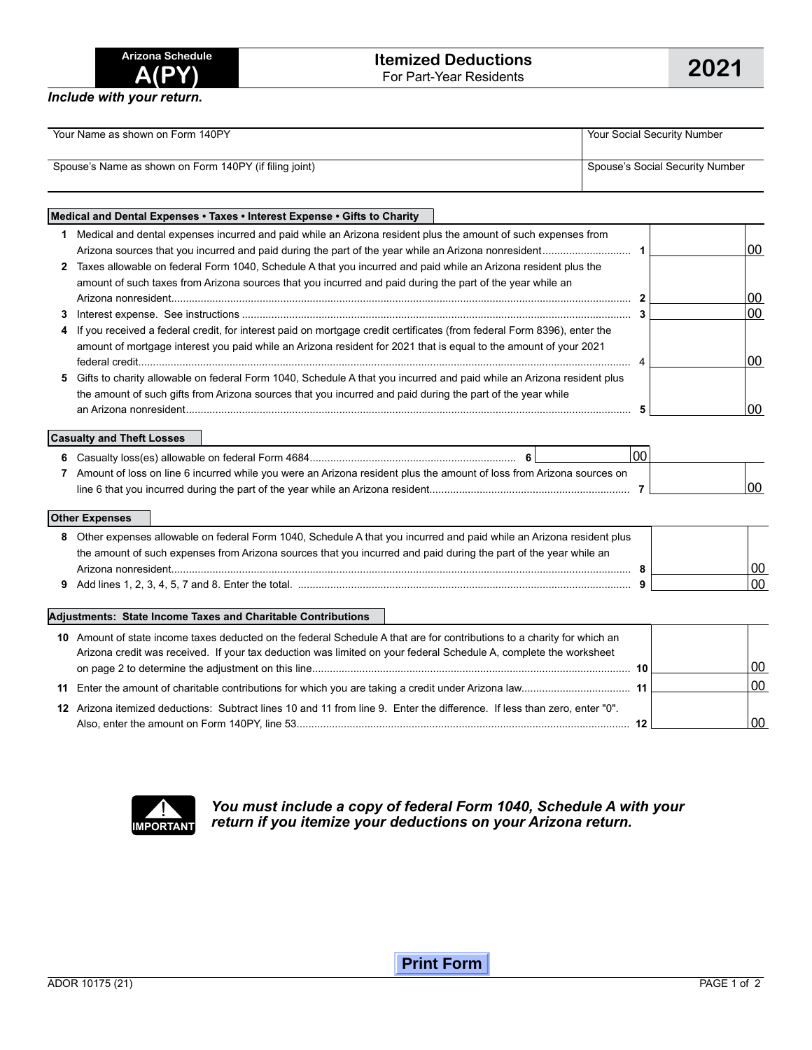*Include with your return.*

| Your Name as shown on Form 140PY                       | Your Social Security Number_    |
|--------------------------------------------------------|---------------------------------|
| Spouse's Name as shown on Form 140PY (if filing joint) | Spouse's Social Security Number |

## **Medical and Dental Expenses • Taxes • Interest Expense • Gifts to Charity 1** Medical and dental expenses incurred and paid while an Arizona resident plus the amount of such expenses from Arizona sources that you incurred and paid during the part of the year while an Arizona nonresident.............................. **1** 00 **2** Taxes allowable on federal Form 1040, Schedule A that you incurred and paid while an Arizona resident plus the

| amount of such taxes from Arizona sources that you incurred and paid during the part of the year while an                 |  |    |
|---------------------------------------------------------------------------------------------------------------------------|--|----|
|                                                                                                                           |  | 00 |
|                                                                                                                           |  | 00 |
| 4 If you received a federal credit, for interest paid on mortgage credit certificates (from federal Form 8396), enter the |  |    |
| amount of mortgage interest you paid while an Arizona resident for 2021 that is equal to the amount of your 2021          |  |    |
|                                                                                                                           |  | 00 |
| 5 Gifts to charity allowable on federal Form 1040, Schedule A that you incurred and paid while an Arizona resident plus   |  |    |
| the amount of such gifts from Arizona sources that you incurred and paid during the part of the year while                |  |    |
| an Arizona nonresident                                                                                                    |  | 00 |

### **Casualty and Theft Losses**

|                                                                                                                      | 00 |     |
|----------------------------------------------------------------------------------------------------------------------|----|-----|
| Amount of loss on line 6 incurred while you were an Arizona resident plus the amount of loss from Arizona sources on |    |     |
|                                                                                                                      |    | 100 |

### **Other Expenses**

| 8 Other expenses allowable on federal Form 1040, Schedule A that you incurred and paid while an Arizona resident plus |  |     |
|-----------------------------------------------------------------------------------------------------------------------|--|-----|
| the amount of such expenses from Arizona sources that you incurred and paid during the part of the year while an      |  |     |
| Arizona nonresident                                                                                                   |  | .oc |
|                                                                                                                       |  | .00 |

#### **Adjustments: State Income Taxes and Charitable Contributions**

| 10 Amount of state income taxes deducted on the federal Schedule A that are for contributions to a charity for which an<br>Arizona credit was received. If your tax deduction was limited on your federal Schedule A, complete the worksheet |  |    |
|----------------------------------------------------------------------------------------------------------------------------------------------------------------------------------------------------------------------------------------------|--|----|
|                                                                                                                                                                                                                                              |  |    |
|                                                                                                                                                                                                                                              |  | 00 |
| 12 Arizona itemized deductions: Subtract lines 10 and 11 from line 9. Enter the difference. If less than zero, enter "0".                                                                                                                    |  |    |
|                                                                                                                                                                                                                                              |  |    |



*You must include a copy of federal Form 1040, Schedule A with your*  **IMPORTANT** return if you itemize your deductions on your Arizona return.